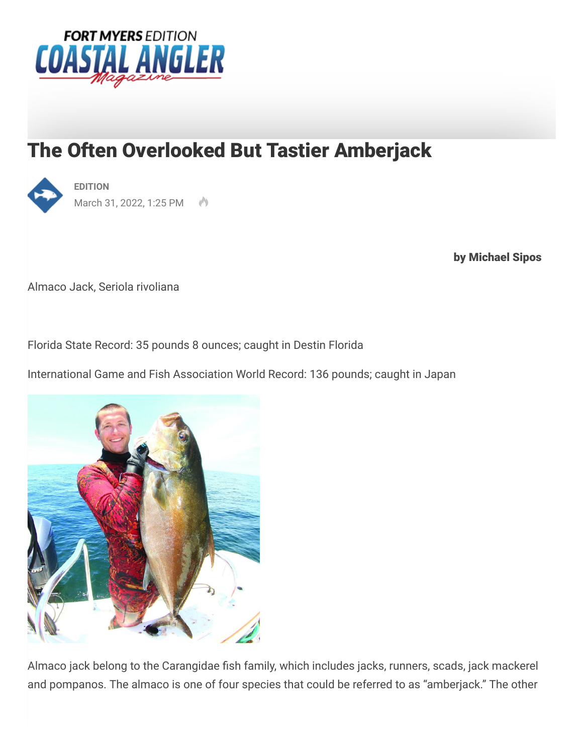

## The Often Overlooked But Tastier Amberjack



by Michael Sipos

Almaco Jack, Seriola rivoliana

Florida State Record: 35 pounds 8 ounces; caught in Destin Florida

International Game and Fish Association World Record: 136 pounds; caught in Japan



Almaco jack belong to the Carangidae fish family, which includes jacks, runners, scads, jack mackerel and pompanos. The almaco is one of four species that could be referred to as "amberjack." The other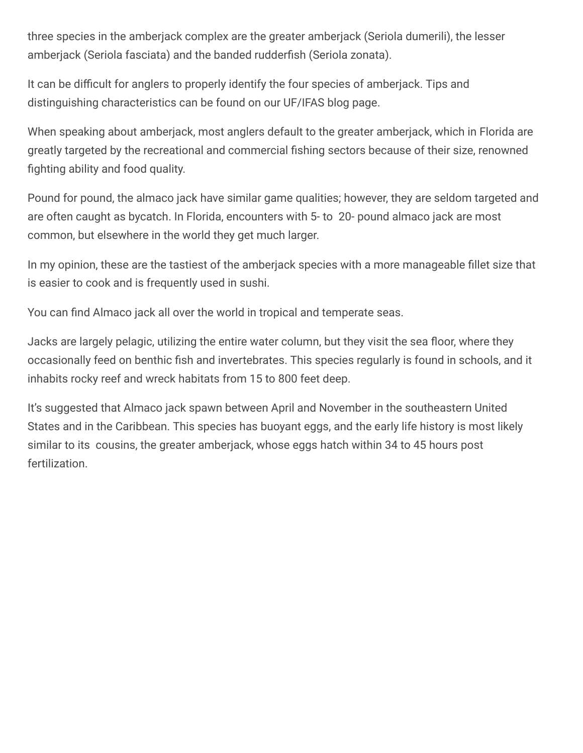three species in the amberjack complex are the greater amberjack (Seriola dumerili), the lesser amberjack (Seriola fasciata) and the banded rudderfish (Seriola zonata).

It can be difficult for anglers to properly identify the four species of amberjack. Tips and distinguishing characteristics can be found on our UF/IFAS blog page.

When speaking about amberjack, most anglers default to the greater amberjack, which in Florida are greatly targeted by the recreational and commercial fishing sectors because of their size, renowned fighting ability and food quality.

Pound for pound, the almaco jack have similar game qualities; however, they are seldom targeted and are often caught as bycatch. In Florida, encounters with 5- to 20- pound almaco jack are most common, but elsewhere in the world they get much larger.

In my opinion, these are the tastiest of the amberjack species with a more manageable fillet size that is easier to cook and is frequently used in sushi.

You can find Almaco jack all over the world in tropical and temperate seas.

Jacks are largely pelagic, utilizing the entire water column, but they visit the sea floor, where they occasionally feed on benthic fish and invertebrates. This species regularly is found in schools, and it inhabits rocky reef and wreck habitats from 15 to 800 feet deep.

It's suggested that Almaco jack spawn between April and November in the southeastern United States and in the Caribbean. This species has buoyant eggs, and the early life history is most likely similar to its cousins, the greater amberjack, whose eggs hatch within 34 to 45 hours post fertilization.